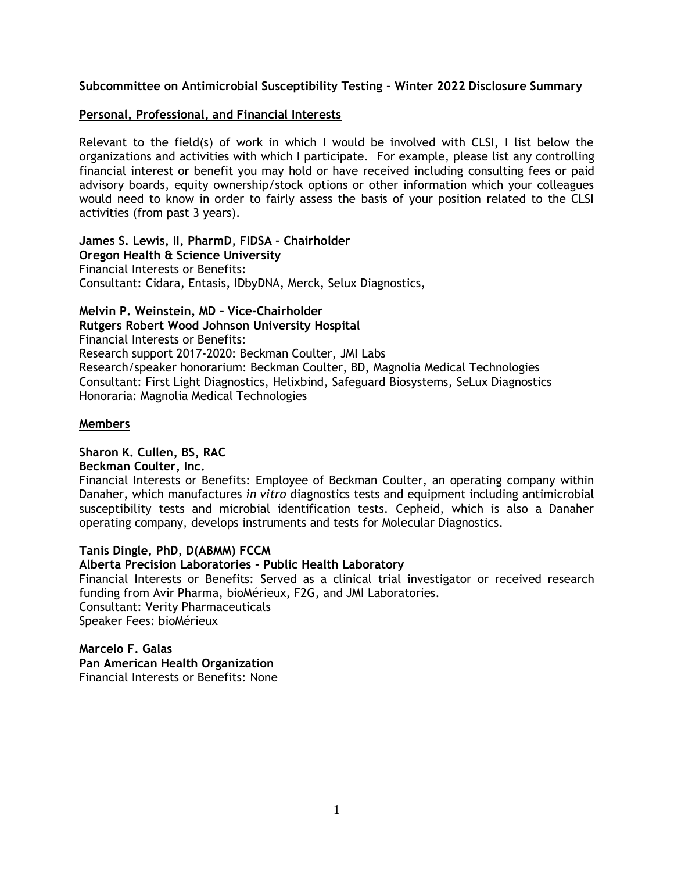# **Subcommittee on Antimicrobial Susceptibility Testing – Winter 2022 Disclosure Summary**

## **Personal, Professional, and Financial Interests**

Relevant to the field(s) of work in which I would be involved with CLSI, I list below the organizations and activities with which I participate. For example, please list any controlling financial interest or benefit you may hold or have received including consulting fees or paid advisory boards, equity ownership/stock options or other information which your colleagues would need to know in order to fairly assess the basis of your position related to the CLSI activities (from past 3 years).

**James S. Lewis, II, PharmD, FIDSA – Chairholder** 

**Oregon Health & Science University** Financial Interests or Benefits: Consultant: Cidara, Entasis, IDbyDNA, Merck, Selux Diagnostics,

**Melvin P. Weinstein, MD – Vice-Chairholder**

**Rutgers Robert Wood Johnson University Hospital**

Financial Interests or Benefits: Research support 2017-2020: Beckman Coulter, JMI Labs Research/speaker honorarium: Beckman Coulter, BD, Magnolia Medical Technologies Consultant: First Light Diagnostics, Helixbind, Safeguard Biosystems, SeLux Diagnostics Honoraria: Magnolia Medical Technologies

## **Members**

## **Sharon K. Cullen, BS, RAC**

**Beckman Coulter, Inc.**

Financial Interests or Benefits: Employee of Beckman Coulter, an operating company within Danaher, which manufactures *in vitro* diagnostics tests and equipment including antimicrobial susceptibility tests and microbial identification tests. Cepheid, which is also a Danaher operating company, develops instruments and tests for Molecular Diagnostics.

# **Tanis Dingle, PhD, D(ABMM) FCCM**

# **Alberta Precision Laboratories – Public Health Laboratory**

Financial Interests or Benefits: Served as a clinical trial investigator or received research funding from Avir Pharma, bioMérieux, F2G, and JMI Laboratories. Consultant: Verity Pharmaceuticals Speaker Fees: bioMérieux

**Marcelo F. Galas Pan American Health Organization** Financial Interests or Benefits: None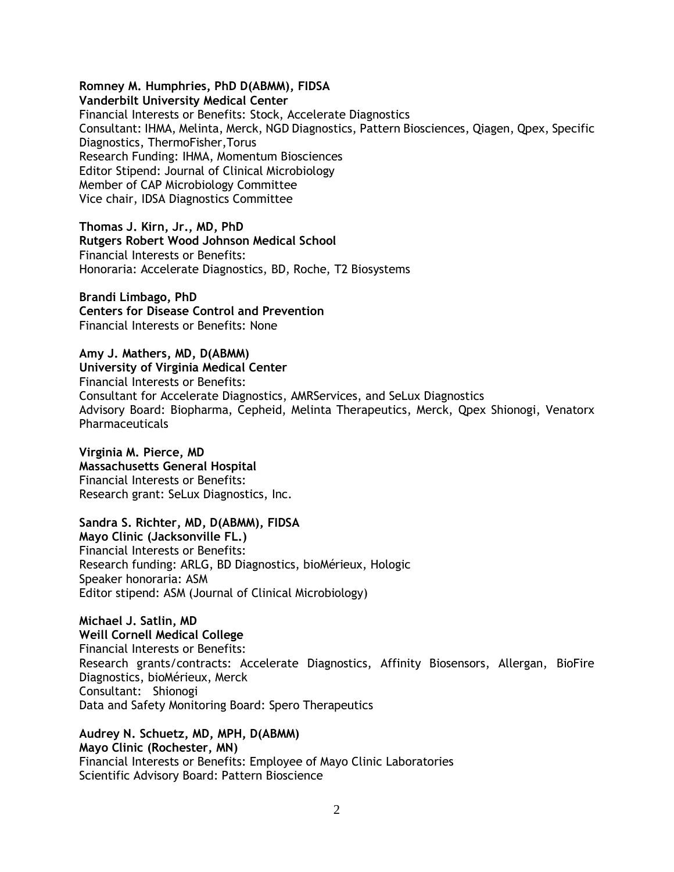## **Romney M. Humphries, PhD D(ABMM), FIDSA**

**Vanderbilt University Medical Center** Financial Interests or Benefits: Stock, Accelerate Diagnostics Consultant: IHMA, Melinta, Merck, NGD Diagnostics, Pattern Biosciences, Qiagen, Qpex, Specific Diagnostics, ThermoFisher,Torus Research Funding: IHMA, Momentum Biosciences Editor Stipend: Journal of Clinical Microbiology Member of CAP Microbiology Committee Vice chair, IDSA Diagnostics Committee

**Thomas J. Kirn, Jr., MD, PhD Rutgers Robert Wood Johnson Medical School** Financial Interests or Benefits: Honoraria: Accelerate Diagnostics, BD, Roche, T2 Biosystems

**Brandi Limbago, PhD Centers for Disease Control and Prevention** Financial Interests or Benefits: None

**Amy J. Mathers, MD, D(ABMM) University of Virginia Medical Center** Financial Interests or Benefits: Consultant for Accelerate Diagnostics, AMRServices, and SeLux Diagnostics Advisory Board: Biopharma, Cepheid, Melinta Therapeutics, Merck, Qpex Shionogi, Venatorx **Pharmaceuticals** 

**Virginia M. Pierce, MD Massachusetts General Hospital** Financial Interests or Benefits: Research grant: SeLux Diagnostics, Inc.

**Sandra S. Richter, MD, D(ABMM), FIDSA** 

**Mayo Clinic (Jacksonville FL.)** Financial Interests or Benefits: Research funding: ARLG, BD Diagnostics, bioMérieux, Hologic Speaker honoraria: ASM Editor stipend: ASM (Journal of Clinical Microbiology)

**Michael J. Satlin, MD Weill Cornell Medical College** Financial Interests or Benefits: Research grants/contracts: Accelerate Diagnostics, Affinity Biosensors, Allergan, BioFire Diagnostics, bioMérieux, Merck Consultant: Shionogi Data and Safety Monitoring Board: Spero Therapeutics

**Audrey N. Schuetz, MD, MPH, D(ABMM) Mayo Clinic (Rochester, MN)** Financial Interests or Benefits: Employee of Mayo Clinic Laboratories Scientific Advisory Board: Pattern Bioscience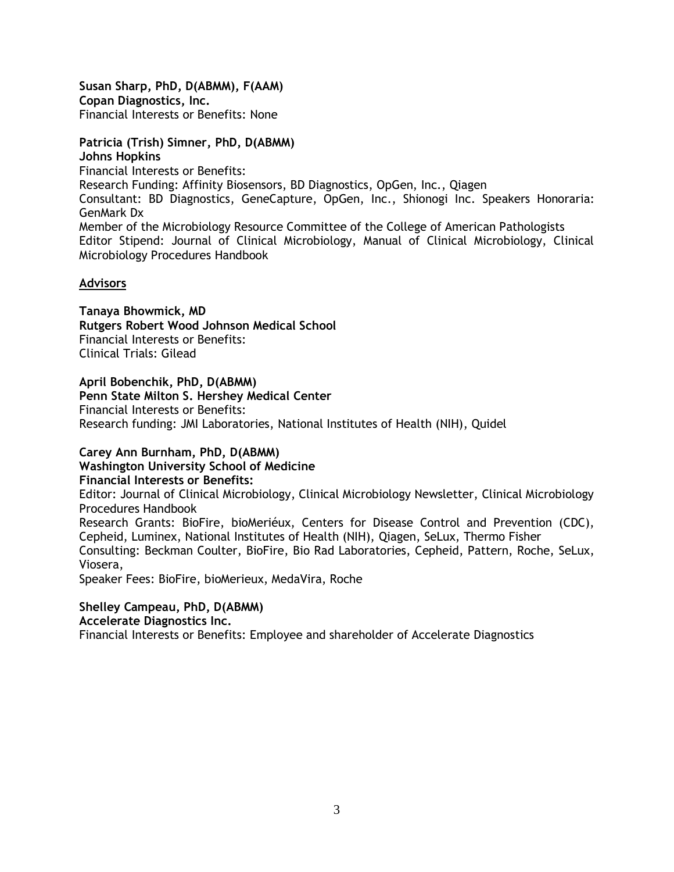**Susan Sharp, PhD, D(ABMM), F(AAM) Copan Diagnostics, Inc.**  Financial Interests or Benefits: None

**Patricia (Trish) Simner, PhD, D(ABMM) Johns Hopkins** Financial Interests or Benefits: Research Funding: Affinity Biosensors, BD Diagnostics, OpGen, Inc., Qiagen Consultant: BD Diagnostics, GeneCapture, OpGen, Inc., Shionogi Inc. Speakers Honoraria: GenMark Dx Member of the Microbiology Resource Committee of the College of American Pathologists Editor Stipend: Journal of Clinical Microbiology, Manual of Clinical Microbiology, Clinical Microbiology Procedures Handbook

## **Advisors**

**Tanaya Bhowmick, MD Rutgers Robert Wood Johnson Medical School** Financial Interests or Benefits: Clinical Trials: Gilead

**April Bobenchik, PhD, D(ABMM)**

**Penn State Milton S. Hershey Medical Center** Financial Interests or Benefits: Research funding: JMI Laboratories, National Institutes of Health (NIH), Quidel

# **Carey Ann Burnham, PhD, D(ABMM)**

**Washington University School of Medicine**

**Financial Interests or Benefits:** 

Editor: Journal of Clinical Microbiology, Clinical Microbiology Newsletter, Clinical Microbiology Procedures Handbook

Research Grants: BioFire, bioMeriéux, Centers for Disease Control and Prevention (CDC), Cepheid, Luminex, National Institutes of Health (NIH), Qiagen, SeLux, Thermo Fisher Consulting: Beckman Coulter, BioFire, Bio Rad Laboratories, Cepheid, Pattern, Roche, SeLux, Viosera,

Speaker Fees: BioFire, bioMerieux, MedaVira, Roche

# **Shelley Campeau, PhD, D(ABMM) Accelerate Diagnostics Inc.**

Financial Interests or Benefits: Employee and shareholder of Accelerate Diagnostics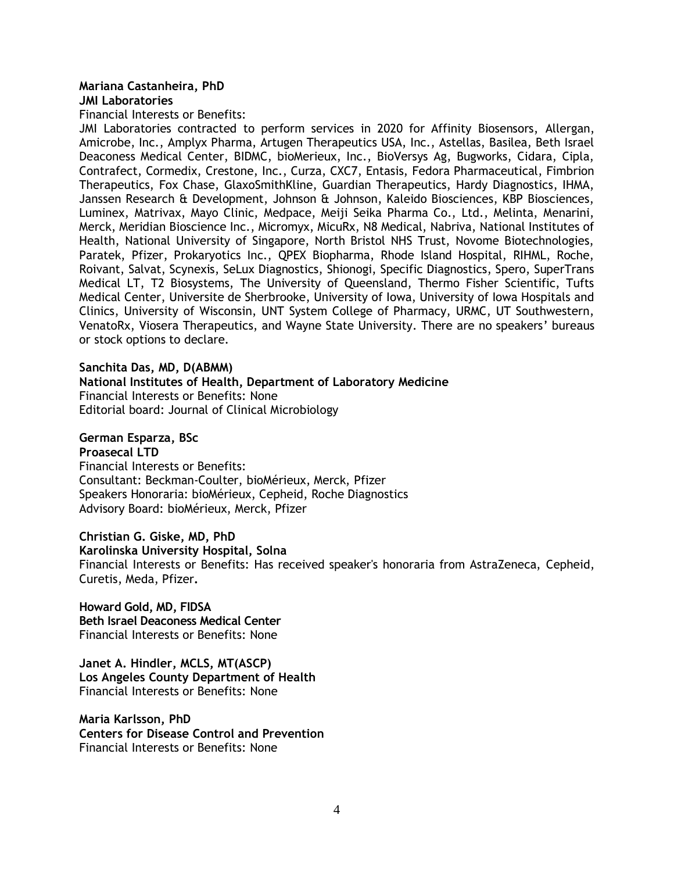# **Mariana Castanheira, PhD**

#### **JMI Laboratories**

Financial Interests or Benefits:

JMI Laboratories contracted to perform services in 2020 for Affinity Biosensors, Allergan, Amicrobe, Inc., Amplyx Pharma, Artugen Therapeutics USA, Inc., Astellas, Basilea, Beth Israel Deaconess Medical Center, BIDMC, bioMerieux, Inc., BioVersys Ag, Bugworks, Cidara, Cipla, Contrafect, Cormedix, Crestone, Inc., Curza, CXC7, Entasis, Fedora Pharmaceutical, Fimbrion Therapeutics, Fox Chase, GlaxoSmithKline, Guardian Therapeutics, Hardy Diagnostics, IHMA, Janssen Research & Development, Johnson & Johnson, Kaleido Biosciences, KBP Biosciences, Luminex, Matrivax, Mayo Clinic, Medpace, Meiji Seika Pharma Co., Ltd., Melinta, Menarini, Merck, Meridian Bioscience Inc., Micromyx, MicuRx, N8 Medical, Nabriva, National Institutes of Health, National University of Singapore, North Bristol NHS Trust, Novome Biotechnologies, Paratek, Pfizer, Prokaryotics Inc., QPEX Biopharma, Rhode Island Hospital, RIHML, Roche, Roivant, Salvat, Scynexis, SeLux Diagnostics, Shionogi, Specific Diagnostics, Spero, SuperTrans Medical LT, T2 Biosystems, The University of Queensland, Thermo Fisher Scientific, Tufts Medical Center, Universite de Sherbrooke, University of Iowa, University of Iowa Hospitals and Clinics, University of Wisconsin, UNT System College of Pharmacy, URMC, UT Southwestern, VenatoRx, Viosera Therapeutics, and Wayne State University. There are no speakers' bureaus or stock options to declare.

# **Sanchita Das, MD, D(ABMM) National Institutes of Health, Department of Laboratory Medicine** Financial Interests or Benefits: None Editorial board: Journal of Clinical Microbiology

# **German Esparza, BSc**

#### **Proasecal LTD**

Financial Interests or Benefits: Consultant: Beckman-Coulter, bioMérieux, Merck, Pfizer Speakers Honoraria: bioMérieux, Cepheid, Roche Diagnostics Advisory Board: bioMérieux, Merck, Pfizer

**Christian G. Giske, MD, PhD**

**Karolinska University Hospital, Solna**

Financial Interests or Benefits: Has received speaker's honoraria from AstraZeneca, Cepheid, Curetis, Meda, Pfizer**.**

**Howard Gold, MD, FIDSA Beth Israel Deaconess Medical Center** Financial Interests or Benefits: None

**Janet A. Hindler, MCLS, MT(ASCP) Los Angeles County Department of Health** Financial Interests or Benefits: None

**Maria Karlsson, PhD Centers for Disease Control and Prevention** Financial Interests or Benefits: None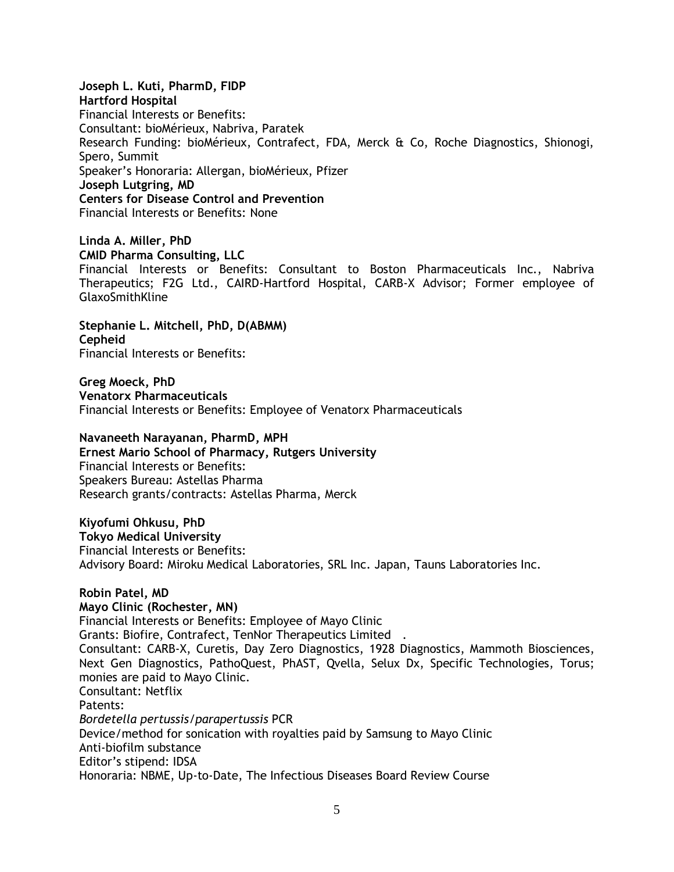**Joseph L. Kuti, PharmD, FIDP Hartford Hospital** Financial Interests or Benefits: Consultant: bioMérieux, Nabriva, Paratek Research Funding: bioMérieux, Contrafect, FDA, Merck & Co, Roche Diagnostics, Shionogi, Spero, Summit Speaker's Honoraria: Allergan, bioMérieux, Pfizer **Joseph Lutgring, MD Centers for Disease Control and Prevention** Financial Interests or Benefits: None

**Linda A. Miller, PhD CMID Pharma Consulting, LLC** Financial Interests or Benefits: Consultant to Boston Pharmaceuticals Inc., Nabriva Therapeutics; F2G Ltd., CAIRD-Hartford Hospital, CARB-X Advisor; Former employee of GlaxoSmithKline

**Stephanie L. Mitchell, PhD, D(ABMM) Cepheid** Financial Interests or Benefits:

**Greg Moeck, PhD Venatorx Pharmaceuticals** Financial Interests or Benefits: Employee of Venatorx Pharmaceuticals

## **Navaneeth Narayanan, PharmD, MPH**

**Ernest Mario School of Pharmacy, Rutgers University** Financial Interests or Benefits: Speakers Bureau: Astellas Pharma Research grants/contracts: Astellas Pharma, Merck

# **Kiyofumi Ohkusu, PhD**

**Tokyo Medical University** Financial Interests or Benefits: Advisory Board: Miroku Medical Laboratories, SRL Inc. Japan, Tauns Laboratories Inc.

## **Robin Patel, MD**

## **Mayo Clinic (Rochester, MN)**

Financial Interests or Benefits: Employee of Mayo Clinic Grants: Biofire, Contrafect, TenNor Therapeutics Limited . Consultant: CARB-X, Curetis, Day Zero Diagnostics, 1928 Diagnostics, Mammoth Biosciences, Next Gen Diagnostics, PathoQuest, PhAST, Qvella, Selux Dx, Specific Technologies, Torus; monies are paid to Mayo Clinic. Consultant: Netflix Patents: *Bordetella pertussis*/*parapertussis* PCR Device/method for sonication with royalties paid by Samsung to Mayo Clinic Anti-biofilm substance Editor's stipend: IDSA Honoraria: NBME, Up-to-Date, The Infectious Diseases Board Review Course